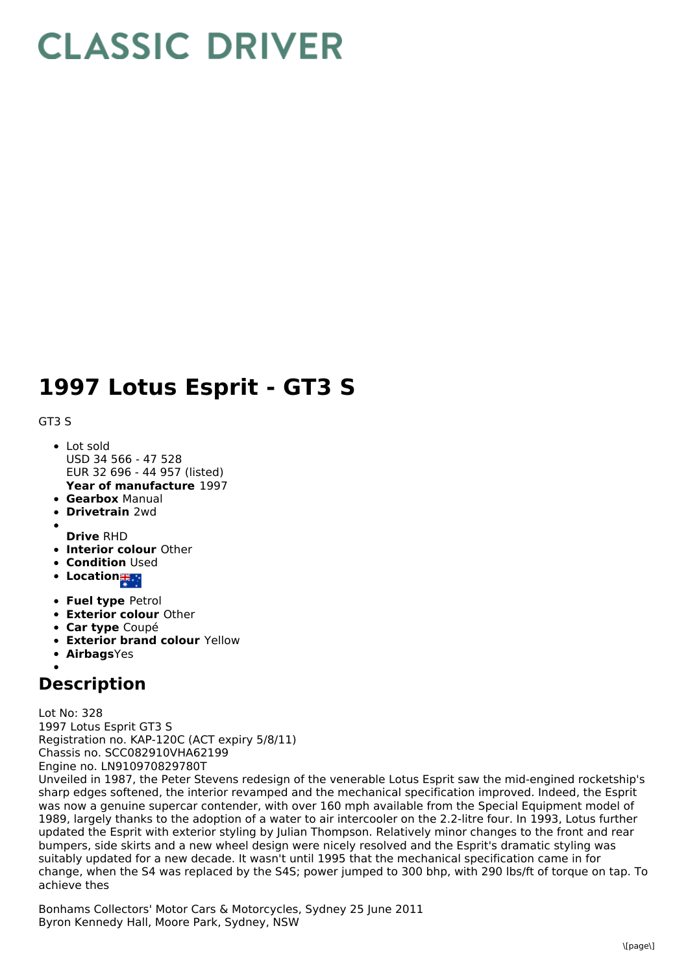## **CLASSIC DRIVER**

## **1997 Lotus Esprit - GT3 S**

## GT3 S

- **Year of manufacture** 1997 Lot sold USD 34 566 - 47 528 EUR 32 696 - 44 957 (listed)
- **Gearbox** Manual
- **Drivetrain** 2wd
- **Drive** RHD
- **Interior colour** Other
- **Condition Used**
- Location<sub>誰。</sub>
- **Fuel type** Petrol
- **Exterior colour** Other
- **Car type** Coupé
- **Exterior brand colour** Yellow
- **Airbags**Yes

## **Description**

Lot No: 328 1997 Lotus Esprit GT3 S Registration no. KAP-120C (ACT expiry 5/8/11) Chassis no. SCC082910VHA62199 Engine no. LN910970829780T

Unveiled in 1987, the Peter Stevens redesign of the venerable Lotus Esprit saw the mid-engined rocketship's sharp edges softened, the interior revamped and the mechanical specification improved. Indeed, the Esprit was now a genuine supercar contender, with over 160 mph available from the Special Equipment model of 1989, largely thanks to the adoption of a water to air intercooler on the 2.2-litre four. In 1993, Lotus further updated the Esprit with exterior styling by Julian Thompson. Relatively minor changes to the front and rear bumpers, side skirts and a new wheel design were nicely resolved and the Esprit's dramatic styling was suitably updated for a new decade. It wasn't until 1995 that the mechanical specification came in for change, when the S4 was replaced by the S4S; power jumped to 300 bhp, with 290 lbs/ft of torque on tap. To achieve thes

Bonhams Collectors' Motor Cars & Motorcycles, Sydney 25 June 2011 Byron Kennedy Hall, Moore Park, Sydney, NSW